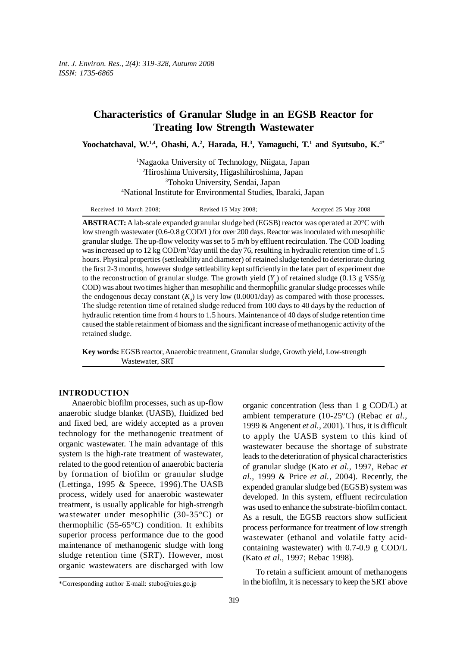# **Characteristics of Granular Sludge in an EGSB Reactor for Treating low Strength Wastewater**

Yoochatchaval, W.<sup>1,4</sup>, Ohashi, A.<sup>2</sup>, Harada, H.<sup>3</sup>, Yamaguchi, T.<sup>1</sup> and Syutsubo, K.<sup>4\*</sup>

 Nagaoka University of Technology, Niigata, Japan Hiroshima University, Higashihiroshima, Japan Tohoku University, Sendai, Japan National Institute for Environmental Studies, Ibaraki, Japan

| Received 10 March 2008; | Revised 15 May 2008; | Accepted 25 May 2008 |
|-------------------------|----------------------|----------------------|
|-------------------------|----------------------|----------------------|

**ABSTRACT:** A lab-scale expanded granular sludge bed (EGSB) reactor was operated at 20°C with low strength wastewater (0.6-0.8 g COD/L) for over 200 days. Reactor was inoculated with mesophilic granular sludge. The up-flow velocity was set to 5 m/h by effluent recirculation. The COD loading was increased up to 12 kg  $\text{COD/m}^3/\text{day}$  until the day 76, resulting in hydraulic retention time of 1.5 hours. Physical properties (settleability and diameter) of retained sludge tended to deteriorate during the first 2-3 months, however sludge settleability kept sufficiently in the later part of experiment due to the reconstruction of granular sludge. The growth yield  $(Y_g)$  of retained sludge (0.13 g VSS/g COD) was about two times higher than mesophilic and thermophilic granular sludge processes while the endogenous decay constant  $(K_d)$  is very low  $(0.0001/\text{day})$  as compared with those processes. The sludge retention time of retained sludge reduced from 100 days to 40 days by the reduction of hydraulic retention time from 4 hours to 1.5 hours. Maintenance of 40 days of sludge retention time caused the stable retainment of biomass and the significant increase of methanogenic activity of the retained sludge.

**Key words:** EGSB reactor, Anaerobic treatment, Granular sludge, Growth yield, Low-strength Wastewater, SRT

### **INTRODUCTION**

Anaerobic biofilm processes, such as up-flow anaerobic sludge blanket (UASB), fluidized bed and fixed bed, are widely accepted as a proven technology for the methanogenic treatment of organic wastewater. The main advantage of this system is the high-rate treatment of wastewater, related to the good retention of anaerobic bacteria by formation of biofilm or granular sludge (Lettinga, 1995 & Speece, 1996).The UASB process, widely used for anaerobic wastewater treatment, is usually applicable for high-strength wastewater under mesophilic (30-35°C) or thermophilic (55-65°C) condition. It exhibits superior process performance due to the good maintenance of methanogenic sludge with long sludge retention time (SRT). However, most organic wastewaters are discharged with low

organic concentration (less than 1 g COD/L) at ambient temperature (10-25°C) (Rebac *et al.,* 1999 & Angenent *et al.,* 2001). Thus, it is difficult to apply the UASB system to this kind of wastewater because the shortage of substrate leads to the deterioration of physical characteristics of granular sludge (Kato *et al.,* 1997, Rebac *et al.,* 1999 & Price *et al.,* 2004). Recently, the expended granular sludge bed (EGSB) system was developed. In this system, effluent recirculation was used to enhance the substrate-biofilm contact. As a result, the EGSB reactors show sufficient process performance for treatment of low strength wastewater (ethanol and volatile fatty acidcontaining wastewater) with 0.7-0.9 g COD/L (Kato *et al.,* 1997; Rebac 1998).

To retain a sufficient amount of methanogens in the biofilm, it is necessary to keep the SRT above

<sup>\*</sup>Corresponding author E-mail: stubo@nies.go.jp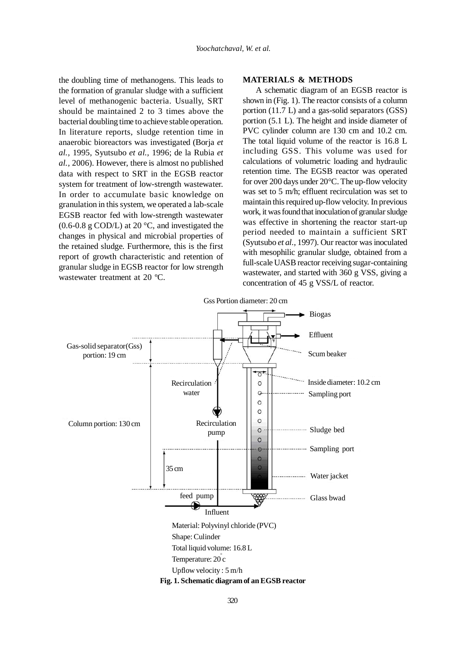the doubling time of methanogens. This leads to the formation of granular sludge with a sufficient level of methanogenic bacteria. Usually, SRT should be maintained 2 to 3 times above the bacterial doubling time to achieve stable operation. In literature reports, sludge retention time in anaerobic bioreactors was investigated (Borja *et al.,* 1995, Syutsubo *et al.,* 1996; de la Rubia *et al.,* 2006). However, there is almost no published data with respect to SRT in the EGSB reactor system for treatment of low-strength wastewater. In order to accumulate basic knowledge on granulation in this system, we operated a lab-scale EGSB reactor fed with low-strength wastewater  $(0.6-0.8 \text{ g } COD/L)$  at 20 °C, and investigated the changes in physical and microbial properties of the retained sludge. Furthermore, this is the first report of growth characteristic and retention of granular sludge in EGSB reactor for low strength wastewater treatment at 20 ºC.

# **MATERIALS & METHODS**

A schematic diagram of an EGSB reactor is shown in (Fig. 1). The reactor consists of a column portion (11.7 L) and a gas-solid separators (GSS) portion (5.1 L). The height and inside diameter of PVC cylinder column are 130 cm and 10.2 cm. The total liquid volume of the reactor is 16.8 L including GSS. This volume was used for calculations of volumetric loading and hydraulic retention time. The EGSB reactor was operated for over 200 days under 20°C. The up-flow velocity was set to 5 m/h; effluent recirculation was set to maintain this required up-flow velocity. In previous work, it was found that inoculation of granular sludge was effective in shortening the reactor start-up period needed to maintain a sufficient SRT (Syutsubo *et al.,* 1997). Our reactor was inoculated with mesophilic granular sludge, obtained from a full-scale UASB reactor receiving sugar-containing wastewater, and started with 360 g VSS, giving a concentration of 45 g VSS/L of reactor.

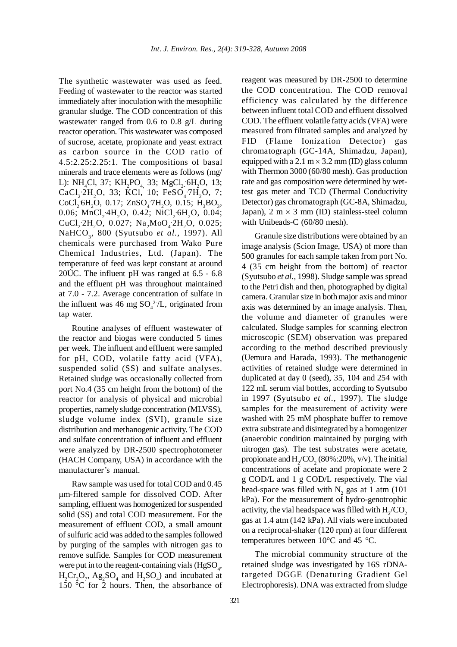The synthetic wastewater was used as feed. Feeding of wastewater to the reactor was started immediately after inoculation with the mesophilic granular sludge. The COD concentration of this wastewater ranged from 0.6 to 0.8 g/L during reactor operation. This wastewater was composed of sucrose, acetate, propionate and yeast extract as carbon source in the COD ratio of 4.5:2.25:2.25:1. The compositions of basal minerals and trace elements were as follows (mg/ L): NH<sub>4</sub>Cl, 37; KH<sub>2</sub>PO<sub>4,</sub> 33; MgCl<sub>2</sub><sub>-</sub>6H<sub>2</sub>O, 13; CaCl<sub>2</sub><sup>-2H<sub>2</sub>O, 33; KCl, 10; FeSO<sub>4</sub><sup>-7H</sup><sub>2</sub>O, 7;</sup>  $CoCl<sub>2</sub>·6H<sub>2</sub>O$ , 0.17;  $ZnSO<sub>4</sub>·7H<sub>2</sub>O$ , 0.15;  $H<sub>3</sub>BO<sub>3</sub>$ , 0.06; MnCl<sub>2</sub>·4H<sub>2</sub>O, 0.42; NiCl<sub>2</sub>·6H<sub>2</sub>O, 0.04; CuCl<sub>2</sub><sup>2</sup>H<sub>2</sub>O, 0.027; Na<sub>2</sub>MoO<sub>4</sub><sup>2</sup>H<sub>2</sub>O, 0.025; NaHCO<sub>3</sub>, 800 (Syutsubo et al., 1997). All chemicals were purchased from Wako Pure Chemical Industries, Ltd. (Japan). The temperature of feed was kept constant at around 20ÚC. The influent pH was ranged at 6.5 - 6.8 and the effluent pH was throughout maintained at 7.0 - 7.2. Average concentration of sulfate in the influent was 46 mg  $SO_4^2/L$ , originated from tap water.

Routine analyses of effluent wastewater of the reactor and biogas were conducted 5 times per week. The influent and effluent were sampled for pH, COD, volatile fatty acid (VFA), suspended solid (SS) and sulfate analyses. Retained sludge was occasionally collected from port No.4 (35 cm height from the bottom) of the reactor for analysis of physical and microbial properties, namely sludge concentration (MLVSS), sludge volume index (SVI), granule size distribution and methanogenic activity. The COD and sulfate concentration of influent and effluent were analyzed by DR-2500 spectrophotometer (HACH Company, USA) in accordance with the manufacturer's manual.

Raw sample was used for total COD and 0.45 µm-filtered sample for dissolved COD. After sampling, effluent was homogenized for suspended solid (SS) and total COD measurement. For the measurement of effluent COD, a small amount of sulfuric acid was added to the samples followed by purging of the samples with nitrogen gas to remove sulfide. Samples for COD measurement were put in to the reagent-containing vials  $(HgSO_4)$ ,  $H_2Cr_2O_7$ ,  $Ag_2SO_4$  and  $H_2SO_4$ ) and incubated at 150 °C for 2 hours. Then, the absorbance of reagent was measured by DR-2500 to determine the COD concentration. The COD removal efficiency was calculated by the difference between influent total COD and effluent dissolved COD. The effluent volatile fatty acids (VFA) were measured from filtrated samples and analyzed by FID (Flame Ionization Detector) gas chromatograph (GC-14A, Shimadzu, Japan), equipped with a 2.1 m  $\times$  3.2 mm (ID) glass column with Thermon 3000 (60/80 mesh). Gas production rate and gas composition were determined by wettest gas meter and TCD (Thermal Conductivity Detector) gas chromatograph (GC-8A, Shimadzu, Japan),  $2 \text{ m} \times 3 \text{ mm}$  (ID) stainless-steel column with Unibeads-C (60/80 mesh).

Granule size distributions were obtained by an image analysis (Scion Image, USA) of more than 500 granules for each sample taken from port No. 4 (35 cm height from the bottom) of reactor (Syutsubo *et al.,* 1998). Sludge sample was spread to the Petri dish and then, photographed by digital camera. Granular size in both major axis and minor axis was determined by an image analysis. Then, the volume and diameter of granules were calculated. Sludge samples for scanning electron microscopic (SEM) observation was prepared according to the method described previously (Uemura and Harada, 1993). The methanogenic activities of retained sludge were determined in duplicated at day 0 (seed), 35, 104 and 254 with 122 mL serum vial bottles, according to Syutsubo in 1997 (Syutsubo *et al.,* 1997). The sludge samples for the measurement of activity were washed with 25 mM phosphate buffer to remove extra substrate and disintegrated by a homogenizer (anaerobic condition maintained by purging with nitrogen gas). The test substrates were acetate, propionate and  $H_2$ /CO<sub>2</sub> (80%:20%, v/v). The initial concentrations of acetate and propionate were 2 g COD/L and 1 g COD/L respectively. The vial head-space was filled with  $N_2$  gas at 1 atm (101) kPa). For the measurement of hydro-genotrophic activity, the vial headspace was filled with  $\rm H_2/CO_2$ gas at 1.4 atm (142 kPa). All vials were incubated on a reciprocal-shaker (120 rpm) at four different temperatures between 10°C and 45 °C.

The microbial community structure of the retained sludge was investigated by 16S rDNAtargeted DGGE (Denaturing Gradient Gel Electrophoresis). DNA was extracted from sludge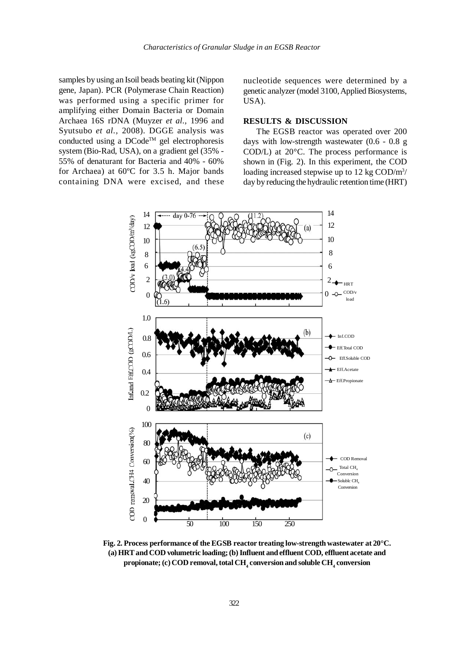samples by using an Isoil beads beating kit (Nippon gene, Japan). PCR (Polymerase Chain Reaction) was performed using a specific primer for amplifying either Domain Bacteria or Domain Archaea 16S rDNA (Muyzer *et al.,* 1996 and Syutsubo *et al.,* 2008). DGGE analysis was conducted using a  $DCode^{TM}$  gel electrophoresis system (Bio-Rad, USA), on a gradient gel (35% - 55% of denaturant for Bacteria and 40% - 60% for Archaea) at 60ºC for 3.5 h. Major bands containing DNA were excised, and these

nucleotide sequences were determined by a genetic analyzer (model 3100, Applied Biosystems, USA).

### **RESULTS & DISCUSSION**

The EGSB reactor was operated over 200 days with low-strength wastewater (0.6 - 0.8 g COD/L) at 20°C. The process performance is shown in (Fig. 2). In this experiment, the COD loading increased stepwise up to 12 kg COD/m<sup>3</sup>/ day by reducing the hydraulic retention time (HRT)



**Fig. 2. Process performance of the EGSB reactor treating low-strength wastewater at 20°C. (a) HRT and COD volumetric loading; (b) Influent and effluent COD, effluent acetate and**  $\mathbf{propionate}$ ; (c)  $\mathbf{COD}$  removal, total  $\mathbf{CH}_{_{4}}$  conversion and soluble  $\mathbf{CH}_{_{4}}$  conversion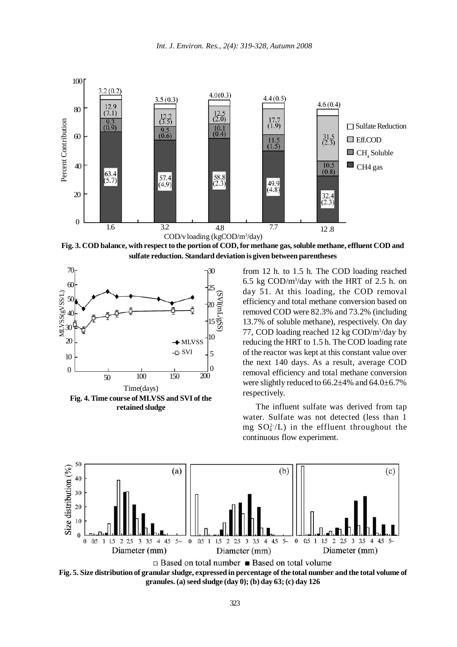

**Fig. 3. COD balance, with respect to the portion of COD, for methane gas, soluble methane, effluent COD and sulfate reduction. Standard deviation is given between parentheses**



from 12 h. to 1.5 h. The COD loading reached 6.5 kg COD/m3 /day with the HRT of 2.5 h. on day 51. At this loading, the COD removal efficiency and total methane conversion based on removed COD were 82.3% and 73.2% (including 13.7% of soluble methane), respectively. On day 77, COD loading reached 12 kg COD/m<sup>3</sup>/day by reducing the HRT to 1.5 h. The COD loading rate of the reactor was kept at this constant value over the next 140 days. As a result, average COD removal efficiency and total methane conversion were slightly reduced to 66.2±4% and 64.0±6.7% respectively.

The influent sulfate was derived from tap water. Sulfate was not detected (less than 1 mg  $SO_4^{2-}/L$ ) in the effluent throughout the continuous flow experiment.



**Fig. 5. Size distribution of granular sludge, expressed in percentage of the total number and the total volume of granules. (a) seed sludge (day 0); (b) day 63; (c) day 126**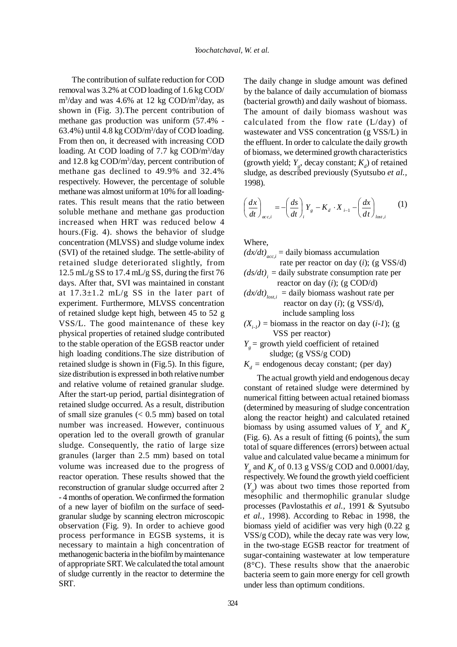The contribution of sulfate reduction for COD removal was 3.2% at COD loading of 1.6 kg COD/ m<sup>3</sup>/day and was 4.6% at 12 kg COD/m<sup>3</sup>/day, as shown in (Fig. 3).The percent contribution of methane gas production was uniform (57.4% - 63.4%) until 4.8 kg COD/m3 /day of COD loading. From then on, it decreased with increasing COD loading. At COD loading of 7.7 kg COD/m<sup>3</sup>/day and 12.8 kg COD/m<sup>3</sup>/day, percent contribution of methane gas declined to 49.9% and 32.4% respectively. However, the percentage of soluble methane was almost uniform at 10% for all loadingrates. This result means that the ratio between soluble methane and methane gas production increased when HRT was reduced below 4 hours.(Fig. 4). shows the behavior of sludge concentration (MLVSS) and sludge volume index (SVI) of the retained sludge. The settle-ability of retained sludge deteriorated slightly, from 12.5 mL/g SS to 17.4 mL/g SS, during the first 76 days. After that, SVI was maintained in constant at  $17.3 \pm 1.2$  mL/g SS in the later part of experiment. Furthermore, MLVSS concentration of retained sludge kept high, between 45 to 52 g VSS/L. The good maintenance of these key physical properties of retained sludge contributed to the stable operation of the EGSB reactor under high loading conditions.The size distribution of retained sludge is shown in (Fig.5). In this figure, size distribution is expressed in both relative number and relative volume of retained granular sludge. After the start-up period, partial disintegration of retained sludge occurred. As a result, distribution of small size granules  $( $0.5 \text{ mm}$ ) based on total$ number was increased. However, continuous operation led to the overall growth of granular sludge. Consequently, the ratio of large size granules (larger than 2.5 mm) based on total volume was increased due to the progress of reactor operation. These results showed that the reconstruction of granular sludge occurred after 2 - 4 months of operation. We confirmed the formation of a new layer of biofilm on the surface of seedgranular sludge by scanning electron microscopic observation (Fig. 9). In order to achieve good process performance in EGSB systems, it is necessary to maintain a high concentration of methanogenic bacteria in the biofilm by maintenance of appropriate SRT. We calculated the total amount of sludge currently in the reactor to determine the SRT.

The daily change in sludge amount was defined by the balance of daily accumulation of biomass (bacterial growth) and daily washout of biomass. The amount of daily biomass washout was calculated from the flow rate (L/day) of wastewater and VSS concentration (g VSS/L) in the effluent. In order to calculate the daily growth of biomass, we determined growth characteristics (growth yield;  $Y_g$ , decay constant;  $K_d$ ) of retained sludge, as described previously (Syutsubo *et al.,* 1998).

$$
\left(\frac{dx}{dt}\right)_{ac,i} = -\left(\frac{ds}{dt}\right)_i Y_s - K_d \cdot X_{i-1} - \left(\frac{dx}{dt}\right)_{lost,i} \tag{1}
$$

Where,

 $\left(dx/dt\right)_{acc,i}$  = daily biomass accumulation rate per reactor on day (*i*); (g VSS/d)  $(ds/dt)$ <sub>i</sub> = daily substrate consumption rate per reactor on day (*i*); (g COD/d)

$$
(dx/dt)_{lost,i}
$$
 = daily biomass washout rate per  
reactor on day (*i*); (g VSS/d),  
include sampling loss

 $(X_{i,j})$  = biomass in the reactor on day  $(i-1)$ ; (g) VSS per reactor)

 $Y_e$  = growth yield coefficient of retained sludge; (g VSS/g COD)

 $K_d$  = endogenous decay constant; (per day)

The actual growth yield and endogenous decay constant of retained sludge were determined by numerical fitting between actual retained biomass (determined by measuring of sludge concentration along the reactor height) and calculated retained biomass by using assumed values of  $Y_g$  and  $K_d$ (Fig. 6). As a result of fitting (6 points), the sum total of square differences (errors) between actual value and calculated value became a minimum for  $Y_a$  and  $K_d$  of 0.13 g VSS/g COD and 0.0001/day, respectively. We found the growth yield coefficient  $(Y_g)$  was about two times those reported from mesophilic and thermophilic granular sludge processes (Pavlostathis *et al.,* 1991 & Syutsubo *et al.,* 1998). According to Rebac in 1998, the biomass yield of acidifier was very high (0.22 g VSS/g COD), while the decay rate was very low, in the two-stage EGSB reactor for treatment of sugar-containing wastewater at low temperature (8°C). These results show that the anaerobic bacteria seem to gain more energy for cell growth under less than optimum conditions.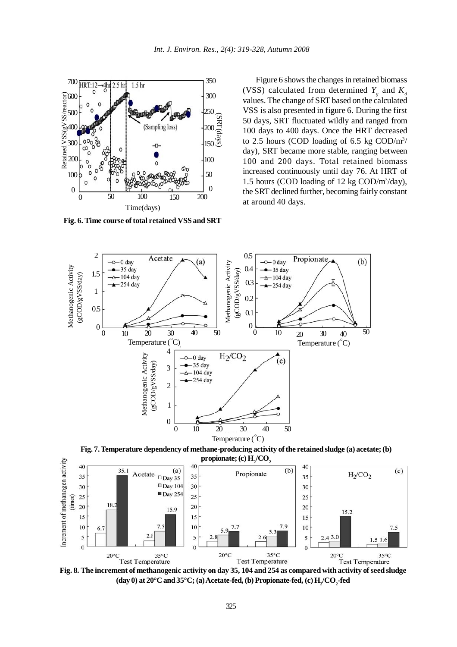

**Fig. 6. Time course of total retained VSS and SRT**

Figure 6 shows the changes in retained biomass (VSS) calculated from determined  $Y_g$  and  $K_d$ values. The change of SRT based on the calculated VSS is also presented in figure 6. During the first 50 days, SRT fluctuated wildly and ranged from 100 days to 400 days. Once the HRT decreased to 2.5 hours (COD loading of 6.5 kg  $\text{COD/m}^3$ / day), SRT became more stable, ranging between 100 and 200 days. Total retained biomass increased continuously until day 76. At HRT of 1.5 hours (COD loading of 12 kg COD/m3 /day), the SRT declined further, becoming fairly constant at around 40 days.



**Fig. 7. Temperature dependency of methane-producing activity of the retained sludge (a) acetate; (b)**  $\mathbf{propionate}$ ; (c)  $\mathbf{H}_{2}/\mathbf{CO}_{2}$ 



(day 0) at  $20^{\circ}$ C and  $35^{\circ}$ C; (a) Acetate-fed, (b) Propionate-fed, (c)  $H_2^{\prime}$ CO<sub>2</sub>-fed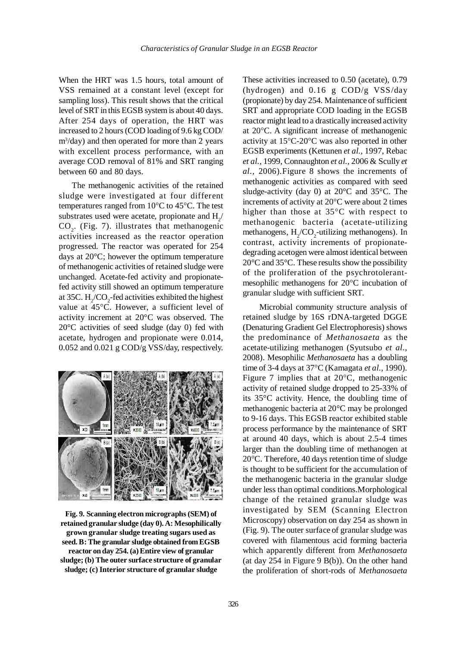When the HRT was 1.5 hours, total amount of VSS remained at a constant level (except for sampling loss). This result shows that the critical level of SRT in this EGSB system is about 40 days. After 254 days of operation, the HRT was increased to 2 hours (COD loading of 9.6 kg COD/ m3 /day) and then operated for more than 2 years with excellent process performance, with an average COD removal of 81% and SRT ranging between 60 and 80 days.

The methanogenic activities of the retained sludge were investigated at four different temperatures ranged from 10°C to 45°C. The test substrates used were acetate, propionate and  $H_2$ /  $CO<sub>2</sub>$ . (Fig. 7). illustrates that methanogenic activities increased as the reactor operation progressed. The reactor was operated for 254 days at 20°C; however the optimum temperature of methanogenic activities of retained sludge were unchanged. Acetate-fed activity and propionatefed activity still showed an optimum temperature at 35C.  $H_2$ /CO<sub>2</sub>-fed activities exhibited the highest value at 45°C. However, a sufficient level of activity increment at 20°C was observed. The 20°C activities of seed sludge (day 0) fed with acetate, hydrogen and propionate were 0.014, 0.052 and 0.021 g COD/g VSS/day, respectively.



**Fig. 9. Scanning electron micrographs (SEM) of retained granular sludge (day 0). A: Mesophilically grown granular sludge treating sugars used as seed. B: The granular sludge obtained from EGSB reactor on day 254. (a) Entire view of granular sludge; (b) The outer surface structure of granular sludge; (c) Interior structure of granular sludge**

These activities increased to 0.50 (acetate), 0.79 (hydrogen) and 0.16 g COD/g VSS/day (propionate) by day 254. Maintenance of sufficient SRT and appropriate COD loading in the EGSB reactor might lead to a drastically increased activity at 20°C. A significant increase of methanogenic activity at 15°C-20°C was also reported in other EGSB experiments (Kettunen *et al.,* 1997, Rebac *et al.,* 1999, Connaughton *et al.,* 2006 & Scully *et al.,* 2006).Figure 8 shows the increments of methanogenic activities as compared with seed sludge-activity (day 0) at 20°C and 35°C. The increments of activity at 20°C were about 2 times higher than those at 35°C with respect to methanogenic bacteria (acetate-utilizing methanogens,  $H_2$ / $CO_2$ -utilizing methanogens). In contrast, activity increments of propionatedegrading acetogen were almost identical between 20°C and 35°C. These results show the possibility of the proliferation of the psychrotolerantmesophilic methanogens for 20°C incubation of granular sludge with sufficient SRT.

 Microbial community structure analysis of retained sludge by 16S rDNA-targeted DGGE (Denaturing Gradient Gel Electrophoresis) shows the predominance of *Methanosaeta* as the acetate-utilizing methanogen (Syutsubo *et al.,* 2008). Mesophilic *Methanosaeta* has a doubling time of 3-4 days at 37°C (Kamagata *et al.,* 1990). Figure 7 implies that at 20°C, methanogenic activity of retained sludge dropped to 25-33% of its 35°C activity. Hence, the doubling time of methanogenic bacteria at 20°C may be prolonged to 9-16 days. This EGSB reactor exhibited stable process performance by the maintenance of SRT at around 40 days, which is about 2.5-4 times larger than the doubling time of methanogen at 20°C. Therefore, 40 days retention time of sludge is thought to be sufficient for the accumulation of the methanogenic bacteria in the granular sludge under less than optimal conditions.Morphological change of the retained granular sludge was investigated by SEM (Scanning Electron Microscopy) observation on day 254 as shown in (Fig. 9). The outer surface of granular sludge was covered with filamentous acid forming bacteria which apparently different from *Methanosaeta* (at day  $254$  in Figure 9 B(b)). On the other hand the proliferation of short-rods of *Methanosaeta*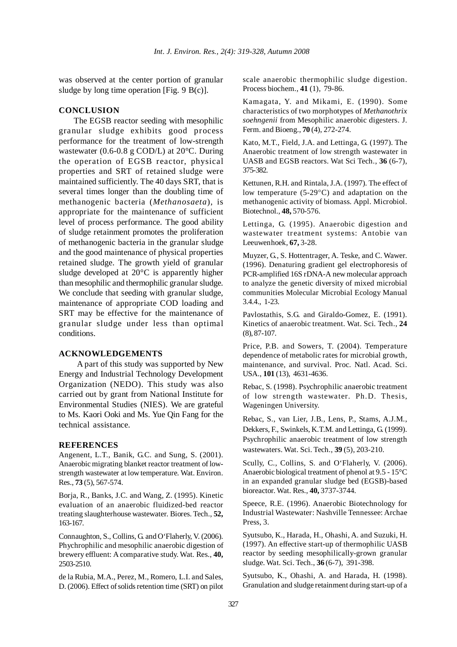was observed at the center portion of granular sludge by long time operation [Fig. 9 B(c)].

## **CONCLUSION**

 The EGSB reactor seeding with mesophilic granular sludge exhibits good process performance for the treatment of low-strength wastewater (0.6-0.8 g COD/L) at 20°C. During the operation of EGSB reactor, physical properties and SRT of retained sludge were maintained sufficiently. The 40 days SRT, that is several times longer than the doubling time of methanogenic bacteria (*Methanosaeta*), is appropriate for the maintenance of sufficient level of process performance. The good ability of sludge retainment promotes the proliferation of methanogenic bacteria in the granular sludge and the good maintenance of physical properties retained sludge. The growth yield of granular sludge developed at 20°C is apparently higher than mesophilic and thermophilic granular sludge. We conclude that seeding with granular sludge, maintenance of appropriate COD loading and SRT may be effective for the maintenance of granular sludge under less than optimal conditions.

#### **ACKNOWLEDGEMENTS**

 A part of this study was supported by New Energy and Industrial Technology Development Organization (NEDO). This study was also carried out by grant from National Institute for Environmental Studies (NIES). We are grateful to Ms. Kaori Ooki and Ms. Yue Qin Fang for the technical assistance.

#### **REFERENCES**

Angenent, L.T., Banik, G.C. and Sung, S. (2001). Anaerobic migrating blanket reactor treatment of lowstrength wastewater at low temperature. Wat. Environ. Res., **73** (5), 567-574.

Borja, R., Banks, J.C. and Wang, Z. (1995). Kinetic evaluation of an anaerobic fluidized-bed reactor treating slaughterhouse wastewater. Biores. Tech., **52,** 163-167.

Connaughton, S., Collins, G. and O'Flaherly, V. (2006). Phychrophilic and mesophilic anaerobic digestion of brewery effluent: A comparative study. Wat. Res., **40,** 2503-2510.

de la Rubia, M.A., Perez, M., Romero, L.I. and Sales, D. (2006). Effect of solids retention time (SRT) on pilot scale anaerobic thermophilic sludge digestion. Process biochem., **41** (1), 79-86.

Kamagata, Y. and Mikami, E. (1990). Some characteristics of two morphotypes of *Methanothrix soehngenii* from Mesophilic anaerobic digesters. J. Ferm. and Bioeng., **70** (4), 272-274.

Kato, M.T., Field, J.A. and Lettinga, G. (1997). The Anaerobic treatment of low strength wastewater in UASB and EGSB reactors. Wat Sci Tech., **36** (6-7), 375-382.

Kettunen, R.H. and Rintala, J.A. (1997). The effect of low temperature (5-29°C) and adaptation on the methanogenic activity of biomass. Appl. Microbiol. Biotechnol., **48,** 570-576.

Lettinga, G. (1995). Anaerobic digestion and wastewater treatment systems: Antobie van Leeuwenhoek, **67,** 3-28.

Muyzer, G., S. Hottentrager, A. Teske, and C. Wawer. (1996). Denaturing gradient gel electrophoresis of PCR-amplified 16S rDNA-A new molecular approach to analyze the genetic diversity of mixed microbial communities Molecular Microbial Ecology Manual 3.4.4., 1-23.

Pavlostathis, S.G. and Giraldo-Gomez, E. (1991). Kinetics of anaerobic treatment. Wat. Sci. Tech., **24** (8), 87-107.

Price, P.B. and Sowers, T. (2004). Temperature dependence of metabolic rates for microbial growth, maintenance, and survival. Proc. Natl. Acad. Sci. USA., **101** (13), 4631-4636.

Rebac, S. (1998). Psychrophilic anaerobic treatment of low strength wastewater. Ph.D. Thesis, Wageningen University.

Rebac, S., van Lier, J.B., Lens, P., Stams, A.J.M., Dekkers, F., Swinkels, K.T.M. and Lettinga, G. (1999). Psychrophilic anaerobic treatment of low strength wastewaters. Wat. Sci. Tech., **39** (5), 203-210.

Scully, C., Collins, S. and O'Flaherly, V. (2006). Anaerobic biological treatment of phenol at 9.5 - 15°C in an expanded granular sludge bed (EGSB)-based bioreactor. Wat. Res., **40,** 3737-3744.

Speece, R.E. (1996). Anaerobic Biotechnology for Industrial Wastewater: Nashville Tennessee: Archae Press, 3.

Syutsubo, K., Harada, H., Ohashi, A. and Suzuki, H. (1997). An effective start-up of thermophilic UASB reactor by seeding mesophilically-grown granular sludge. Wat. Sci. Tech., **36** (6-7), 391-398.

Syutsubo, K., Ohashi, A. and Harada, H. (1998). Granulation and sludge retainment during start-up of a